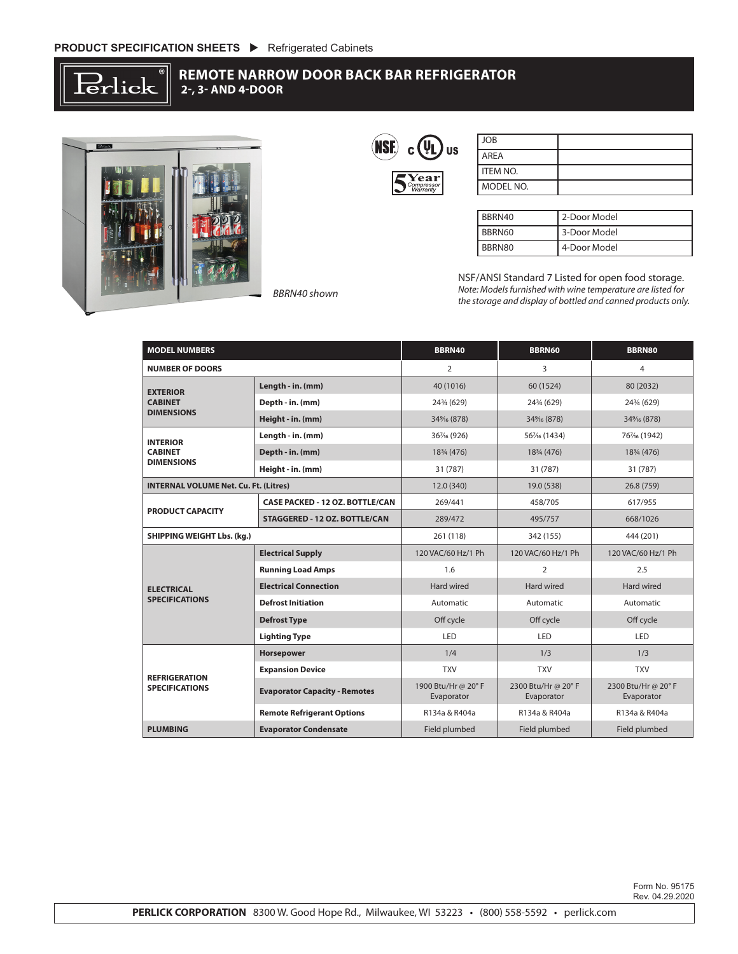

## **REMOTE NARROW DOOR BACK BAR REFRIGERATOR 2-, 3- AND 4-DOOR**



|  |                                                                    | JS |
|--|--------------------------------------------------------------------|----|
|  | $\mathop{\bf Year}\limits_{\it Compression}\limits_{\it Warnalty}$ |    |

| <b>JOB</b>      |  |
|-----------------|--|
| AREA            |  |
| <b>ITEM NO.</b> |  |
| MODEL NO.       |  |

| BBRN40 | 2-Door Model |
|--------|--------------|
| BBRN60 | 3-Door Model |
| BBRN80 | 4-Door Model |

NSF/ANSI Standard 7 Listed for open food storage. *Note: Models furnished with wine temperature are listed for the storage and display of bottled and canned products only.*

| <b>MODEL NUMBERS</b>                                   |                                        | BBRN40                           | <b>BBRN60</b>                    | <b>BBRN80</b>                    |
|--------------------------------------------------------|----------------------------------------|----------------------------------|----------------------------------|----------------------------------|
| <b>NUMBER OF DOORS</b>                                 |                                        | $\overline{2}$                   | 3                                | 4                                |
| <b>EXTERIOR</b><br><b>CABINET</b><br><b>DIMENSIONS</b> | Length - in. (mm)                      | 40 (1016)                        | 60 (1524)                        | 80 (2032)                        |
|                                                        | Depth - in. (mm)                       | 243/4 (629)                      | 243/4 (629)                      | 243/4 (629)                      |
|                                                        | Height - in. (mm)                      | 34% (878)                        | 34% (878)                        | 34% (878)                        |
| <b>INTERIOR</b><br><b>CABINET</b><br><b>DIMENSIONS</b> | Length - in. (mm)                      | 361/6 (926)                      | 561/6 (1434)                     | 761/6 (1942)                     |
|                                                        | Depth - in. (mm)                       | 183/4 (476)                      | 183/4 (476)                      | 183/4 (476)                      |
|                                                        | Height - in. (mm)                      | 31 (787)                         | 31 (787)                         | 31 (787)                         |
| <b>INTERNAL VOLUME Net. Cu. Ft. (Litres)</b>           |                                        | 12.0 (340)                       | 19.0 (538)                       | 26.8 (759)                       |
| <b>PRODUCT CAPACITY</b>                                | <b>CASE PACKED - 12 OZ. BOTTLE/CAN</b> | 269/441                          | 458/705                          | 617/955                          |
|                                                        | STAGGERED - 12 OZ. BOTTLE/CAN          | 289/472                          | 495/757                          | 668/1026                         |
| <b>SHIPPING WEIGHT Lbs. (kg.)</b>                      |                                        | 261 (118)                        | 342 (155)                        | 444 (201)                        |
| <b>ELECTRICAL</b><br><b>SPECIFICATIONS</b>             | <b>Electrical Supply</b>               | 120 VAC/60 Hz/1 Ph               | 120 VAC/60 Hz/1 Ph               | 120 VAC/60 Hz/1 Ph               |
|                                                        | <b>Running Load Amps</b>               | 1.6                              | $\overline{2}$                   | 2.5                              |
|                                                        | <b>Electrical Connection</b>           | Hard wired                       | Hard wired                       | Hard wired                       |
|                                                        | <b>Defrost Initiation</b>              | Automatic                        | Automatic                        | Automatic                        |
|                                                        | <b>Defrost Type</b>                    | Off cycle                        | Off cycle                        | Off cycle                        |
|                                                        | <b>Lighting Type</b>                   | LED                              | LED                              | LED                              |
| <b>REFRIGERATION</b><br><b>SPECIFICATIONS</b>          | Horsepower                             | 1/4                              | 1/3                              | 1/3                              |
|                                                        | <b>Expansion Device</b>                | <b>TXV</b>                       | <b>TXV</b>                       | <b>TXV</b>                       |
|                                                        | <b>Evaporator Capacity - Remotes</b>   | 1900 Btu/Hr @ 20°F<br>Evaporator | 2300 Btu/Hr @ 20°F<br>Evaporator | 2300 Btu/Hr @ 20°F<br>Evaporator |
|                                                        | <b>Remote Refrigerant Options</b>      | R134a & R404a                    | R134a & R404a                    | R134a & R404a                    |
| <b>PLUMBING</b>                                        | <b>Evaporator Condensate</b>           | Field plumbed                    | Field plumbed                    | Field plumbed                    |

Form No. 95175 Rev. 04.29.2020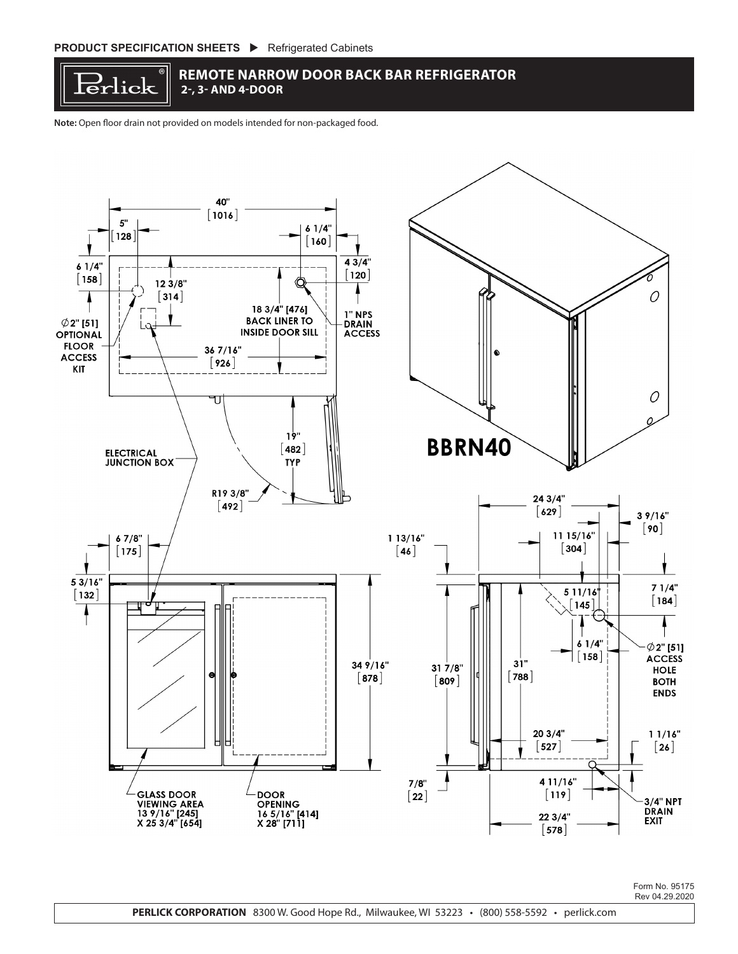

## **REMOTE NARROW DOOR BACK BAR REFRIGERATOR 2-, 3- AND 4-DOOR**

**Note:** Open floor drain not provided on models intended for non-packaged food.